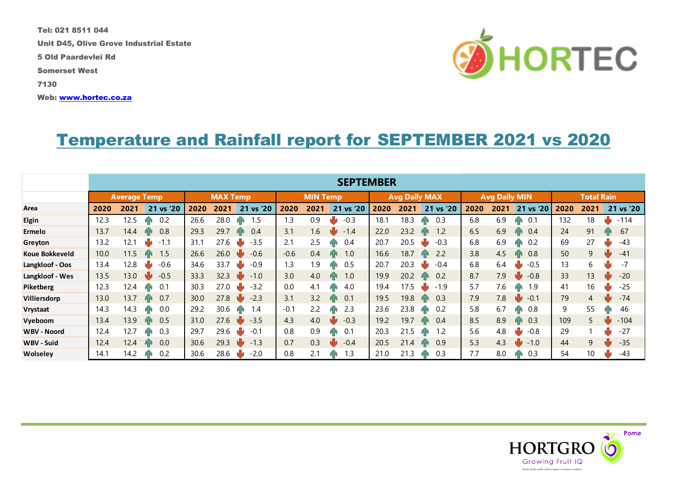Tel: 021 8511 044 Unit D45, Olive Grove Industrial Estate 5 Old Paardevlei Rd Somerset West 7130 Web: [www.hortec.co.za](http://www.hortec.co.za/)



## Temperature and Rainfall report for SEPTEMBER 2021 vs 2020

|                     | <b>SEPTEMBER</b>    |      |           |                 |      |           |                 |      |           |                      |      |                   |                      |      |               |                   |                 |           |
|---------------------|---------------------|------|-----------|-----------------|------|-----------|-----------------|------|-----------|----------------------|------|-------------------|----------------------|------|---------------|-------------------|-----------------|-----------|
|                     | <b>Average Temp</b> |      |           | <b>MAX Temp</b> |      |           | <b>MIN Temp</b> |      |           | <b>Avg Daily MAX</b> |      |                   | <b>Avg Daily MIN</b> |      |               | <b>Total Rain</b> |                 |           |
| Area                | 2020                | 2021 | 21 vs '20 | 2020            | 2021 | 21 vs '20 | 2020            | 2021 | 21 vs '20 | 2020                 | 2021 | 21 vs '20         | 2020                 | 2021 | 21 vs '20     | 2020              | 2021            | 21 vs '20 |
| <b>Elgin</b>        | 12.3                | 12.5 | 0.2       | 26.6            | 28.0 | 1.5       | 1.3             | 0.9  | $-0.3$    | 18.1                 | 18.3 | 0.3               | 6.8                  | 6.9  | 0.1           | 132               | 18              | $-114$    |
| Ermelo              | 13.7                | 14.4 | 0.8       | 29.3            | 29.7 | 0.4       | 3.1             | 6.6  | $-1.4$    | 22.0                 | 23.2 | 1.2               | 6.5                  | 6.9  | 0.4           | 24                | 91              | 67        |
| Greyton             | 13.2                | 12.1 | $-1.1$    | 31.1            | 27.6 | $-3.5$    | 2.1             | 2.5  | 0.4<br>ИΝ | 20.7                 | 20.5 | $-0.3$            | 6.8                  | 6.9  | 0.2           | 69                | 27              | $-43$     |
| Koue Bokkeveld      | 10.0                | 11.5 | 1.5<br>ИN | 26.6            | 26.0 | $-0.6$    | $-0.6$          | 0.4  | 1.0<br>ИΝ | 16.6                 | 18.7 | 2.2<br><b>AN</b>  | 3.8                  | 4.5  | 0.8<br>ИΝ     | 50                | 9               | $-41$     |
| Langkloof - Oos     | 13.4                | 12.8 | $-0.6$    | 34.6            | 33.7 | $-0.9$    | 1.3             | 9.ا  | 0.5<br>ИN | 20.7                 | 20.3 | $-0.4$            | 6.8                  | 6.4  | $-0.5$        | 13                | 6               | $-7$      |
| Langkloof - Wes     | 13.5                | 13.0 | $-0.5$    | 33.3            | 32.3 | $-1.0$    | 3.0             | 4.0  | 1.0<br>им | 19.9                 | 20.2 | 0.2               | 8.7                  | 7.9  | $-0.8$        | 33                | 13              | $-20$     |
| Piketberg           | 12.3                | 12.4 | 0.1       | 30.3            | 27.0 | $-3.2$    | 0.0             | 4.1  | 4.0<br>ИΝ | 19.4                 | 17.5 | $-1.9$            | 5.7                  | 7.6  | 1.9           | 41                | 16              | $-25$     |
| <b>Villiersdorp</b> | 13.0                | 13.7 | 0.7<br>ИN | 30.0            | 27.8 | $-2.3$    | 3.1             | 3.2  | 0.1<br>ИŃ | 19.5                 | 19.8 | 0.3<br><b>AN</b>  | 7.9                  | 7.8  | $-0.1$<br>NУ  | 79                | 4               | $-74$     |
| Vrystaat            | 14.3                | 14.3 | 0.0<br>ИN | 29.2            | 30.6 | 1.4<br>ЙN | $-0.1$          | 2.2  | 2.3<br>ЙN | 23.6                 | 23.8 | 0.2<br><b>AN</b>  | 5.8                  | 6.7  | 0.8           | 9                 | 55              | 46        |
| Vyeboom             | 13.4                | 13.9 | 0.5<br>ЙN | 31.0            | 27.6 | $-3.5$    | 4.3             | 4.0  | $-0.3$    | 19.2                 | 19.7 | 0.4<br><b>LEN</b> | 8.5                  | 8.9  | 0.3           | 109               | 5               | $-104$    |
| <b>WBV - Noord</b>  | 12.4                | 12.7 | 0.3       | 29.7            | 29.6 | $-0.7$    | 0.8             | 0.9  | 0.1<br>ИN | 20.3                 | 21.5 | 1.2               | 5.6                  | 4.8  | $-0.8$        | 29                |                 | $-27$     |
| <b>WBV - Suid</b>   | 12.4                | 12.4 | 0.0       | 30.6            | 29.3 | $-1.3$    | 0.7             | 0.3  | $-0.4$    | 20.5                 | 21.4 | 0.9               | 5.3                  | 4.3  | $-1.0$<br>e g | 44                | 9               | $-35$     |
| Wolseley            | 14.1                | 14.2 | 0.2       | 30.6            | 28.6 | $-2.0$    | 0.8             | 2.1  | 1.3<br>ИΝ | 21.0                 | 21.3 | 0.3<br><b>AN</b>  | 7.7                  | 8.0  | 0.3<br>ИΝ     | 54                | 10 <sup>°</sup> | $-43$     |